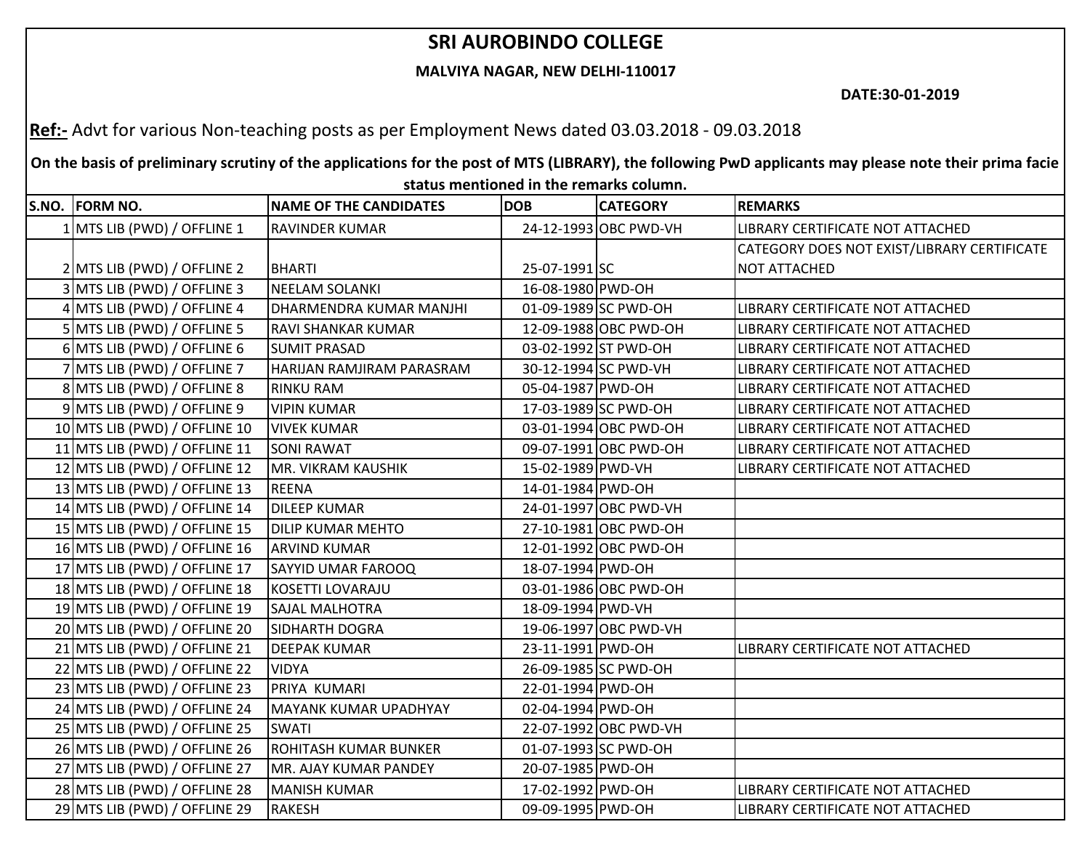## **SRI AUROBINDO COLLEGE**

## **MALVIYA NAGAR, NEW DELHI-110017**

**DATE:30-01-2019**

**Ref:-** Advt for various Non-teaching posts as per Employment News dated 03.03.2018 - 09.03.2018

**On the basis of preliminary scrutiny of the applications for the post of MTS (LIBRARY), the following PwD applicants may please note their prima facie status mentioned in the remarks column.**

| S.NO. FORM NO.                | <b>NAME OF THE CANDIDATES</b> | <b>DOB</b>        | <b>CATEGORY</b>       | <b>REMARKS</b>                              |
|-------------------------------|-------------------------------|-------------------|-----------------------|---------------------------------------------|
| 1 MTS LIB (PWD) / OFFLINE 1   | <b>RAVINDER KUMAR</b>         |                   | 24-12-1993 OBC PWD-VH | LIBRARY CERTIFICATE NOT ATTACHED            |
|                               |                               |                   |                       | CATEGORY DOES NOT EXIST/LIBRARY CERTIFICATE |
| 2 MTS LIB (PWD) / OFFLINE 2   | BHARTI                        | 25-07-1991 SC     |                       | <b>NOT ATTACHED</b>                         |
| 3 MTS LIB (PWD) / OFFLINE 3   | NEELAM SOLANKI                | 16-08-1980 PWD-OH |                       |                                             |
| 4 MTS LIB (PWD) / OFFLINE 4   | DHARMENDRA KUMAR MANJHI       |                   | 01-09-1989 SC PWD-OH  | LIBRARY CERTIFICATE NOT ATTACHED            |
| 5 MTS LIB (PWD) / OFFLINE 5   | RAVI SHANKAR KUMAR            |                   | 12-09-1988 OBC PWD-OH | LIBRARY CERTIFICATE NOT ATTACHED            |
| 6 MTS LIB (PWD) / OFFLINE 6   | <b>SUMIT PRASAD</b>           |                   | 03-02-1992 ST PWD-OH  | LIBRARY CERTIFICATE NOT ATTACHED            |
| 7 MTS LIB (PWD) / OFFLINE 7   | HARIJAN RAMJIRAM PARASRAM     |                   | 30-12-1994 SC PWD-VH  | LIBRARY CERTIFICATE NOT ATTACHED            |
| 8 MTS LIB (PWD) / OFFLINE 8   | <b>RINKU RAM</b>              | 05-04-1987 PWD-OH |                       | LIBRARY CERTIFICATE NOT ATTACHED            |
| 9 MTS LIB (PWD) / OFFLINE 9   | <b>VIPIN KUMAR</b>            |                   | 17-03-1989 SC PWD-OH  | LIBRARY CERTIFICATE NOT ATTACHED            |
| 10 MTS LIB (PWD) / OFFLINE 10 | <b>VIVEK KUMAR</b>            |                   | 03-01-1994 OBC PWD-OH | LIBRARY CERTIFICATE NOT ATTACHED            |
| 11 MTS LIB (PWD) / OFFLINE 11 | <b>SONI RAWAT</b>             |                   | 09-07-1991 OBC PWD-OH | LIBRARY CERTIFICATE NOT ATTACHED            |
| 12 MTS LIB (PWD) / OFFLINE 12 | MR. VIKRAM KAUSHIK            | 15-02-1989 PWD-VH |                       | LIBRARY CERTIFICATE NOT ATTACHED            |
| 13 MTS LIB (PWD) / OFFLINE 13 | <b>REENA</b>                  | 14-01-1984 PWD-OH |                       |                                             |
| 14 MTS LIB (PWD) / OFFLINE 14 | <b>DILEEP KUMAR</b>           |                   | 24-01-1997 OBC PWD-VH |                                             |
| 15 MTS LIB (PWD) / OFFLINE 15 | <b>DILIP KUMAR MEHTO</b>      |                   | 27-10-1981 OBC PWD-OH |                                             |
| 16 MTS LIB (PWD) / OFFLINE 16 | <b>ARVIND KUMAR</b>           |                   | 12-01-1992 OBC PWD-OH |                                             |
| 17 MTS LIB (PWD) / OFFLINE 17 | <b>SAYYID UMAR FAROOQ</b>     | 18-07-1994 PWD-OH |                       |                                             |
| 18 MTS LIB (PWD) / OFFLINE 18 | <b>KOSETTI LOVARAJU</b>       |                   | 03-01-1986 OBC PWD-OH |                                             |
| 19 MTS LIB (PWD) / OFFLINE 19 | <b>SAJAL MALHOTRA</b>         | 18-09-1994 PWD-VH |                       |                                             |
| 20 MTS LIB (PWD) / OFFLINE 20 | <b>SIDHARTH DOGRA</b>         |                   | 19-06-1997 OBC PWD-VH |                                             |
| 21 MTS LIB (PWD) / OFFLINE 21 | <b>DEEPAK KUMAR</b>           | 23-11-1991 PWD-OH |                       | LIBRARY CERTIFICATE NOT ATTACHED            |
| 22 MTS LIB (PWD) / OFFLINE 22 | <b>VIDYA</b>                  |                   | 26-09-1985 SC PWD-OH  |                                             |
| 23 MTS LIB (PWD) / OFFLINE 23 | PRIYA KUMARI                  | 22-01-1994 PWD-OH |                       |                                             |
| 24 MTS LIB (PWD) / OFFLINE 24 | MAYANK KUMAR UPADHYAY         | 02-04-1994 PWD-OH |                       |                                             |
| 25 MTS LIB (PWD) / OFFLINE 25 | <b>SWATI</b>                  |                   | 22-07-1992 OBC PWD-VH |                                             |
| 26 MTS LIB (PWD) / OFFLINE 26 | ROHITASH KUMAR BUNKER         |                   | 01-07-1993 SC PWD-OH  |                                             |
| 27 MTS LIB (PWD) / OFFLINE 27 | MR. AJAY KUMAR PANDEY         | 20-07-1985 PWD-OH |                       |                                             |
| 28 MTS LIB (PWD) / OFFLINE 28 | <b>MANISH KUMAR</b>           | 17-02-1992 PWD-OH |                       | LIBRARY CERTIFICATE NOT ATTACHED            |
| 29 MTS LIB (PWD) / OFFLINE 29 | <b>RAKESH</b>                 | 09-09-1995 PWD-OH |                       | LIBRARY CERTIFICATE NOT ATTACHED            |